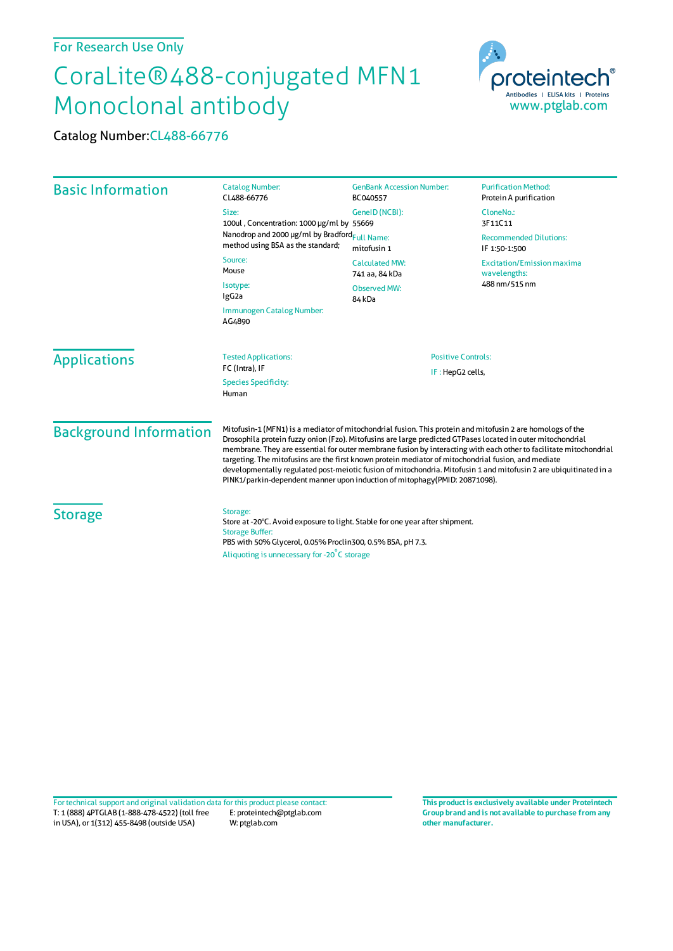## For Research Use Only

## CoraLite®488-conjugated MFN1 Monoclonal antibody

Catalog Number:CL488-66776



T: 1 (888) 4PTGLAB (1-888-478-4522) (toll free in USA), or 1(312) 455-8498 (outside USA) E: proteintech@ptglab.com W: ptglab.com Fortechnical support and original validation data forthis product please contact: **This productis exclusively available under Proteintech**

**Group brand and is not available to purchase from any other manufacturer.**